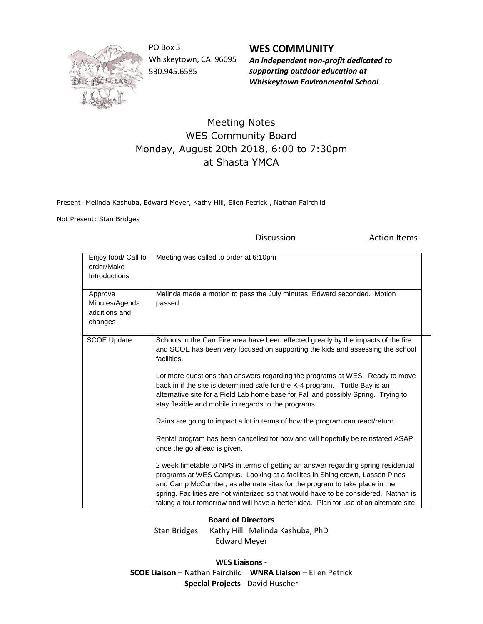

PO Box 3 Whiskeytown, CA 96095 530.945.6585

**WES COMMUNITY** *An independent non-profit dedicated to supporting outdoor education at Whiskeytown Environmental School*

## Meeting Notes WES Community Board Monday, August 20th 2018, 6:00 to 7:30pm at Shasta YMCA

Present: Melinda Kashuba, Edward Meyer, Kathy Hill, Ellen Petrick , Nathan Fairchild

Not Present: Stan Bridges

Discussion **Action Items** 

| Enjoy food/ Call to<br>order/Make<br>Introductions    | Meeting was called to order at 6:10pm                                                                                                                                                                                                                                                                                                                                                                                                                                                                                                                                                                                                                                                                                                                                                                                                                                                                                                                                                                                                                                                                                                     |
|-------------------------------------------------------|-------------------------------------------------------------------------------------------------------------------------------------------------------------------------------------------------------------------------------------------------------------------------------------------------------------------------------------------------------------------------------------------------------------------------------------------------------------------------------------------------------------------------------------------------------------------------------------------------------------------------------------------------------------------------------------------------------------------------------------------------------------------------------------------------------------------------------------------------------------------------------------------------------------------------------------------------------------------------------------------------------------------------------------------------------------------------------------------------------------------------------------------|
| Approve<br>Minutes/Agenda<br>additions and<br>changes | Melinda made a motion to pass the July minutes, Edward seconded. Motion<br>passed.                                                                                                                                                                                                                                                                                                                                                                                                                                                                                                                                                                                                                                                                                                                                                                                                                                                                                                                                                                                                                                                        |
| <b>SCOE Update</b>                                    | Schools in the Carr Fire area have been effected greatly by the impacts of the fire<br>and SCOE has been very focused on supporting the kids and assessing the school<br>facilities.<br>Lot more questions than answers regarding the programs at WES. Ready to move<br>back in if the site is determined safe for the K-4 program. Turtle Bay is an<br>alternative site for a Field Lab home base for Fall and possibly Spring. Trying to<br>stay flexible and mobile in regards to the programs.<br>Rains are going to impact a lot in terms of how the program can react/return.<br>Rental program has been cancelled for now and will hopefully be reinstated ASAP<br>once the go ahead is given.<br>2 week timetable to NPS in terms of getting an answer regarding spring residential<br>programs at WES Campus. Looking at a facilites in Shingletown, Lassen Pines<br>and Camp McCumber, as alternate sites for the program to take place in the<br>spring. Facilities are not winterized so that would have to be considered. Nathan is<br>taking a tour tomorrow and will have a better idea. Plan for use of an alternate site |

## **Board of Directors**

Stan Bridges Kathy Hill Melinda Kashuba, PhD Edward Meyer

**WES Liaisons** - **SCOE Liaison** – Nathan Fairchild **WNRA Liaison** – Ellen Petrick **Special Projects** - David Huscher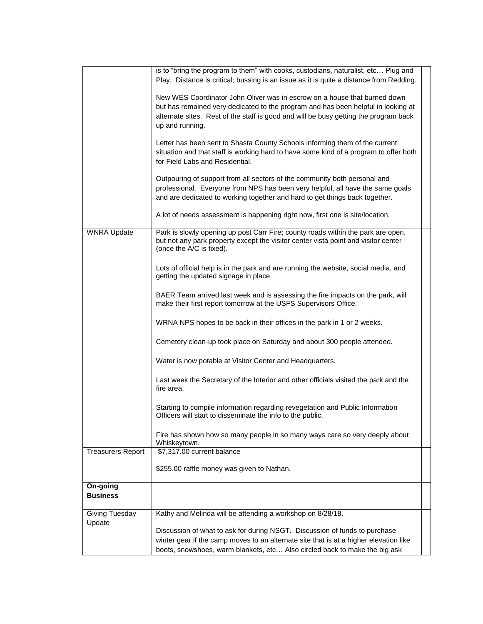| is to "bring the program to them" with cooks, custodians, naturalist, etc Plug and<br>Play. Distance is critical; bussing is an issue as it is quite a distance from Redding.                                                                                             |                                                                                            |
|---------------------------------------------------------------------------------------------------------------------------------------------------------------------------------------------------------------------------------------------------------------------------|--------------------------------------------------------------------------------------------|
| New WES Coordinator John Oliver was in escrow on a house that burned down<br>but has remained very dedicated to the program and has been helpful in looking at<br>alternate sites. Rest of the staff is good and will be busy getting the program back<br>up and running. |                                                                                            |
| Letter has been sent to Shasta County Schools informing them of the current<br>situation and that staff is working hard to have some kind of a program to offer both<br>for Field Labs and Residential.                                                                   |                                                                                            |
| Outpouring of support from all sectors of the community both personal and<br>professional. Everyone from NPS has been very helpful, all have the same goals<br>and are dedicated to working together and hard to get things back together.                                |                                                                                            |
| A lot of needs assessment is happening right now, first one is site/location.                                                                                                                                                                                             |                                                                                            |
| Park is slowly opening up post Carr Fire; county roads within the park are open,<br>but not any park property except the visitor center vista point and visitor center<br>(once the A/C is fixed).                                                                        |                                                                                            |
| Lots of official help is in the park and are running the website, social media, and<br>getting the updated signage in place.                                                                                                                                              |                                                                                            |
| BAER Team arrived last week and is assessing the fire impacts on the park, will<br>make their first report tomorrow at the USFS Supervisors Office.                                                                                                                       |                                                                                            |
| WRNA NPS hopes to be back in their offices in the park in 1 or 2 weeks.                                                                                                                                                                                                   |                                                                                            |
| Cemetery clean-up took place on Saturday and about 300 people attended.                                                                                                                                                                                                   |                                                                                            |
| Water is now potable at Visitor Center and Headquarters.                                                                                                                                                                                                                  |                                                                                            |
| Last week the Secretary of the Interior and other officials visited the park and the<br>fire area.                                                                                                                                                                        |                                                                                            |
| Starting to compile information regarding revegetation and Public Information<br>Officers will start to disseminate the info to the public.                                                                                                                               |                                                                                            |
| Fire has shown how so many people in so many ways care so very deeply about                                                                                                                                                                                               |                                                                                            |
| \$7,317.00 current balance                                                                                                                                                                                                                                                |                                                                                            |
| \$255.00 raffle money was given to Nathan.                                                                                                                                                                                                                                |                                                                                            |
|                                                                                                                                                                                                                                                                           |                                                                                            |
| Kathy and Melinda will be attending a workshop on 8/28/18.                                                                                                                                                                                                                |                                                                                            |
| Discussion of what to ask for during NSGT. Discussion of funds to purchase<br>winter gear if the camp moves to an alternate site that is at a higher elevation like                                                                                                       |                                                                                            |
|                                                                                                                                                                                                                                                                           | Whiskeytown.<br>boots, snowshoes, warm blankets, etc Also circled back to make the big ask |